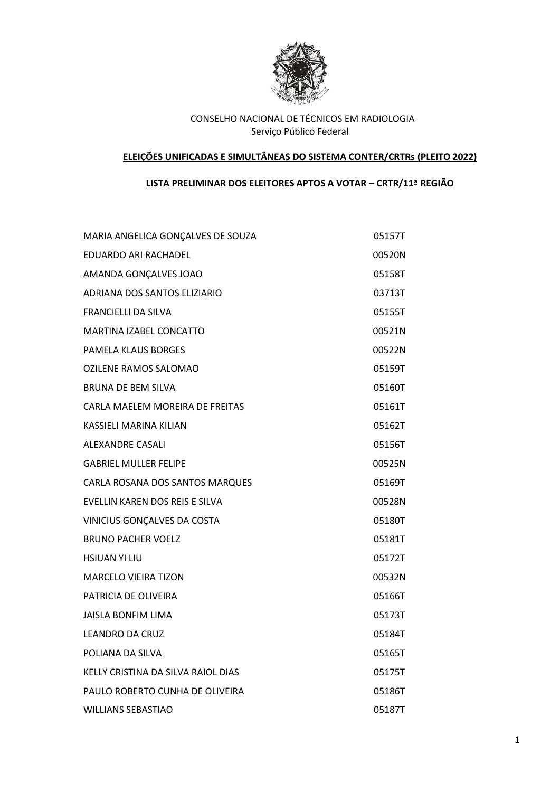

#### **ELEIÇÕES UNIFICADAS E SIMULTÂNEAS DO SISTEMA CONTER/CRTRs (PLEITO 2022)**

# **LISTA PRELIMINAR DOS ELEITORES APTOS A VOTAR – CRTR/11ª REGIÃO**

| MARIA ANGELICA GONÇALVES DE SOUZA  | 05157T |
|------------------------------------|--------|
| EDUARDO ARI RACHADEL               | 00520N |
| AMANDA GONÇALVES JOAO              | 05158T |
| ADRIANA DOS SANTOS ELIZIARIO       | 03713T |
| <b>FRANCIELLI DA SILVA</b>         | 05155T |
| MARTINA IZABEL CONCATTO            | 00521N |
| <b>PAMELA KLAUS BORGES</b>         | 00522N |
| OZILENE RAMOS SALOMAO              | 05159T |
| <b>BRUNA DE BEM SILVA</b>          | 05160T |
| CARLA MAELEM MOREIRA DE FREITAS    | 05161T |
| KASSIELI MARINA KILIAN             | 05162T |
| <b>ALEXANDRE CASALI</b>            | 05156T |
| <b>GABRIEL MULLER FELIPE</b>       | 00525N |
| CARLA ROSANA DOS SANTOS MARQUES    | 05169T |
| EVELLIN KAREN DOS REIS E SILVA     | 00528N |
| VINICIUS GONÇALVES DA COSTA        | 05180T |
| <b>BRUNO PACHER VOELZ</b>          | 05181T |
| <b>HSIUAN YI LIU</b>               | 05172T |
| <b>MARCELO VIEIRA TIZON</b>        | 00532N |
| PATRICIA DE OLIVEIRA               | 05166T |
| <b>JAISLA BONFIM LIMA</b>          | 05173T |
| <b>LEANDRO DA CRUZ</b>             | 05184T |
| POLIANA DA SILVA                   | 05165T |
| KELLY CRISTINA DA SILVA RAIOL DIAS | 05175T |
| PAULO ROBERTO CUNHA DE OLIVEIRA    | 05186T |
| <b>WILLIANS SEBASTIAO</b>          | 05187T |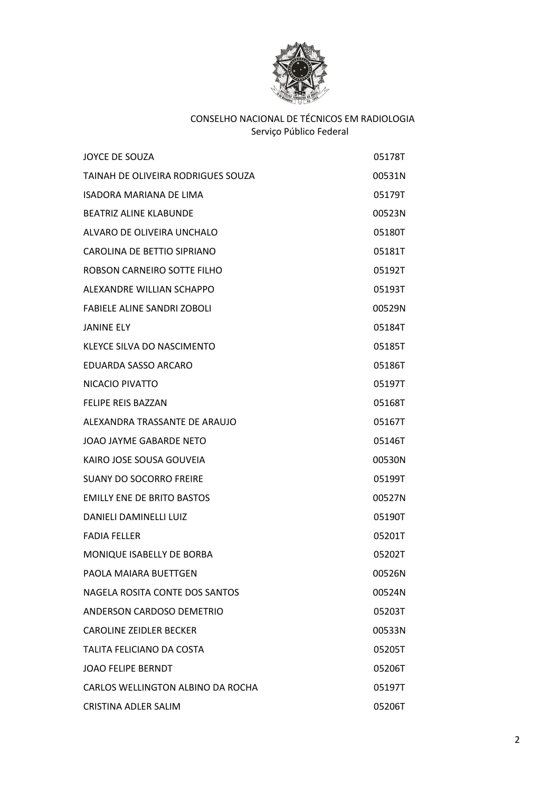

| <b>JOYCE DE SOUZA</b>              | 05178T |
|------------------------------------|--------|
| TAINAH DE OLIVEIRA RODRIGUES SOUZA | 00531N |
| ISADORA MARIANA DE LIMA            | 05179T |
| <b>BEATRIZ ALINE KLABUNDE</b>      | 00523N |
| ALVARO DE OLIVEIRA UNCHALO         | 05180T |
| CAROLINA DE BETTIO SIPRIANO        | 05181T |
| ROBSON CARNEIRO SOTTE FILHO        | 05192T |
| ALEXANDRE WILLIAN SCHAPPO          | 05193T |
| <b>FABIELE ALINE SANDRI ZOBOLI</b> | 00529N |
| JANINE ELY                         | 05184T |
| KLEYCE SILVA DO NASCIMENTO         | 05185T |
| EDUARDA SASSO ARCARO               | 05186T |
| NICACIO PIVATTO                    | 05197T |
| <b>FELIPE REIS BAZZAN</b>          | 05168T |
| ALEXANDRA TRASSANTE DE ARAUJO      | 05167T |
| JOAO JAYME GABARDE NETO            | 05146T |
| KAIRO JOSE SOUSA GOUVEIA           | 00530N |
| <b>SUANY DO SOCORRO FREIRE</b>     | 05199T |
| <b>EMILLY ENE DE BRITO BASTOS</b>  | 00527N |
| <b>DANIELI DAMINELLI LUIZ</b>      | 05190T |
| <b>FADIA FELLER</b>                | 05201T |
| MONIQUE ISABELLY DE BORBA          | 05202T |
| PAOLA MAIARA BUETTGEN              | 00526N |
| NAGELA ROSITA CONTE DOS SANTOS     | 00524N |
| ANDERSON CARDOSO DEMETRIO          | 05203T |
| CAROLINE ZEIDLER BECKER            | 00533N |
| TALITA FELICIANO DA COSTA          | 05205T |
| <b>JOAO FELIPE BERNDT</b>          | 05206T |
| CARLOS WELLINGTON ALBINO DA ROCHA  | 05197T |
| CRISTINA ADLER SALIM               | 05206T |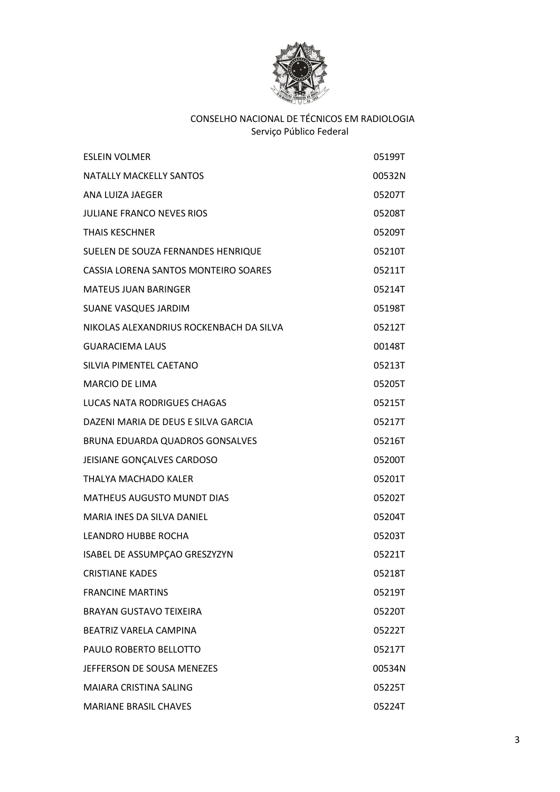

| <b>ESLEIN VOLMER</b>                    | 05199T |
|-----------------------------------------|--------|
| NATALLY MACKELLY SANTOS                 | 00532N |
| ANA LUIZA JAEGER                        | 05207T |
| <b>JULIANE FRANCO NEVES RIOS</b>        | 05208T |
| <b>THAIS KESCHNER</b>                   | 05209T |
| SUELEN DE SOUZA FERNANDES HENRIQUE      | 05210T |
| CASSIA LORENA SANTOS MONTEIRO SOARES    | 05211T |
| <b>MATEUS JUAN BARINGER</b>             | 05214T |
| <b>SUANE VASQUES JARDIM</b>             | 05198T |
| NIKOLAS ALEXANDRIUS ROCKENBACH DA SILVA | 05212T |
| <b>GUARACIEMA LAUS</b>                  | 00148T |
| SILVIA PIMENTEL CAETANO                 | 05213T |
| <b>MARCIO DE LIMA</b>                   | 05205T |
| <b>LUCAS NATA RODRIGUES CHAGAS</b>      | 05215T |
| DAZENI MARIA DE DEUS E SILVA GARCIA     | 05217T |
| BRUNA EDUARDA QUADROS GONSALVES         | 05216T |
| JEISIANE GONÇALVES CARDOSO              | 05200T |
| THALYA MACHADO KALER                    | 05201T |
| <b>MATHEUS AUGUSTO MUNDT DIAS</b>       | 05202T |
| MARIA INES DA SILVA DANIEL              | 05204T |
| <b>LEANDRO HUBBE ROCHA</b>              | 05203T |
| ISABEL DE ASSUMPÇÃO GRESZYZYN           | 05221T |
| <b>CRISTIANE KADES</b>                  | 05218T |
| <b>FRANCINE MARTINS</b>                 | 05219T |
| <b>BRAYAN GUSTAVO TEIXEIRA</b>          | 05220T |
| BEATRIZ VARELA CAMPINA                  | 05222T |
| PAULO ROBERTO BELLOTTO                  | 05217T |
| JEFFERSON DE SOUSA MENEZES              | 00534N |
| MAIARA CRISTINA SALING                  | 05225T |
| <b>MARIANE BRASIL CHAVES</b>            | 05224T |